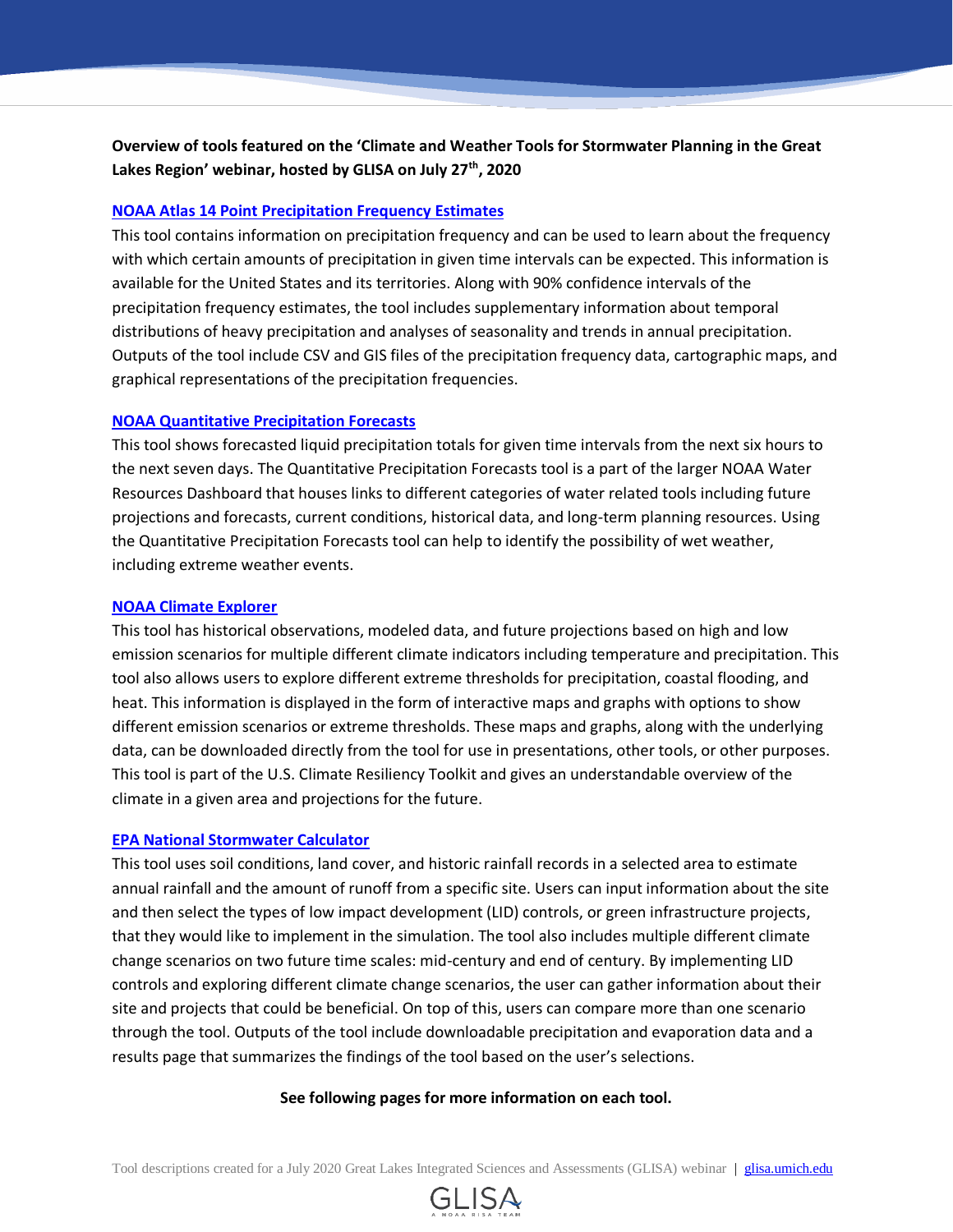# **Overview of tools featured on the 'Climate and Weather Tools for Stormwater Planning in the Great Lakes Region' webinar, hosted by GLISA on July 27th, 2020**

#### **[NOAA Atlas 14 Point Precipitation Frequency](https://hdsc.nws.noaa.gov/hdsc/pfds/pfds_map_cont.html) Estimates**

This tool contains information on precipitation frequency and can be used to learn about the frequency with which certain amounts of precipitation in given time intervals can be expected. This information is available for the United States and its territories. Along with 90% confidence intervals of the precipitation frequency estimates, the tool includes supplementary information about temporal distributions of heavy precipitation and analyses of seasonality and trends in annual precipitation. Outputs of the tool include CSV and GIS files of the precipitation frequency data, cartographic maps, and graphical representations of the precipitation frequencies.

#### **[NOAA Quantitative Precipitation Forecasts](https://www.wpc.ncep.noaa.gov/qpf/qpf2.shtml)**

This tool shows forecasted liquid precipitation totals for given time intervals from the next six hours to the next seven days. The Quantitative Precipitation Forecasts tool is a part of the larger NOAA Water Resources Dashboard that houses links to different categories of water related tools including future projections and forecasts, current conditions, historical data, and long-term planning resources. Using the Quantitative Precipitation Forecasts tool can help to identify the possibility of wet weather, including extreme weather events.

#### **[NOAA Climate Explorer](https://crt-climate-explorer.nemac.org/)**

This tool has historical observations, modeled data, and future projections based on high and low emission scenarios for multiple different climate indicators including temperature and precipitation. This tool also allows users to explore different extreme thresholds for precipitation, coastal flooding, and heat. This information is displayed in the form of interactive maps and graphs with options to show different emission scenarios or extreme thresholds. These maps and graphs, along with the underlying data, can be downloaded directly from the tool for use in presentations, other tools, or other purposes. This tool is part of the U.S. Climate Resiliency Toolkit and gives an understandable overview of the climate in a given area and projections for the future.

#### **[EPA National Stormwater Calculator](https://www.epa.gov/water-research/national-stormwater-calculator)**

This tool uses soil conditions, land cover, and historic rainfall records in a selected area to estimate annual rainfall and the amount of runoff from a specific site. Users can input information about the site and then select the types of low impact development (LID) controls, or green infrastructure projects, that they would like to implement in the simulation. The tool also includes multiple different climate change scenarios on two future time scales: mid-century and end of century. By implementing LID controls and exploring different climate change scenarios, the user can gather information about their site and projects that could be beneficial. On top of this, users can compare more than one scenario through the tool. Outputs of the tool include downloadable precipitation and evaporation data and a results page that summarizes the findings of the tool based on the user's selections.

#### **See following pages for more information on each tool.**

Tool descriptions created for a July 2020 Great Lakes Integrated Sciences and Assessments (GLISA) webinar | [glisa.umich.edu](http://glisa.umich.edu/)

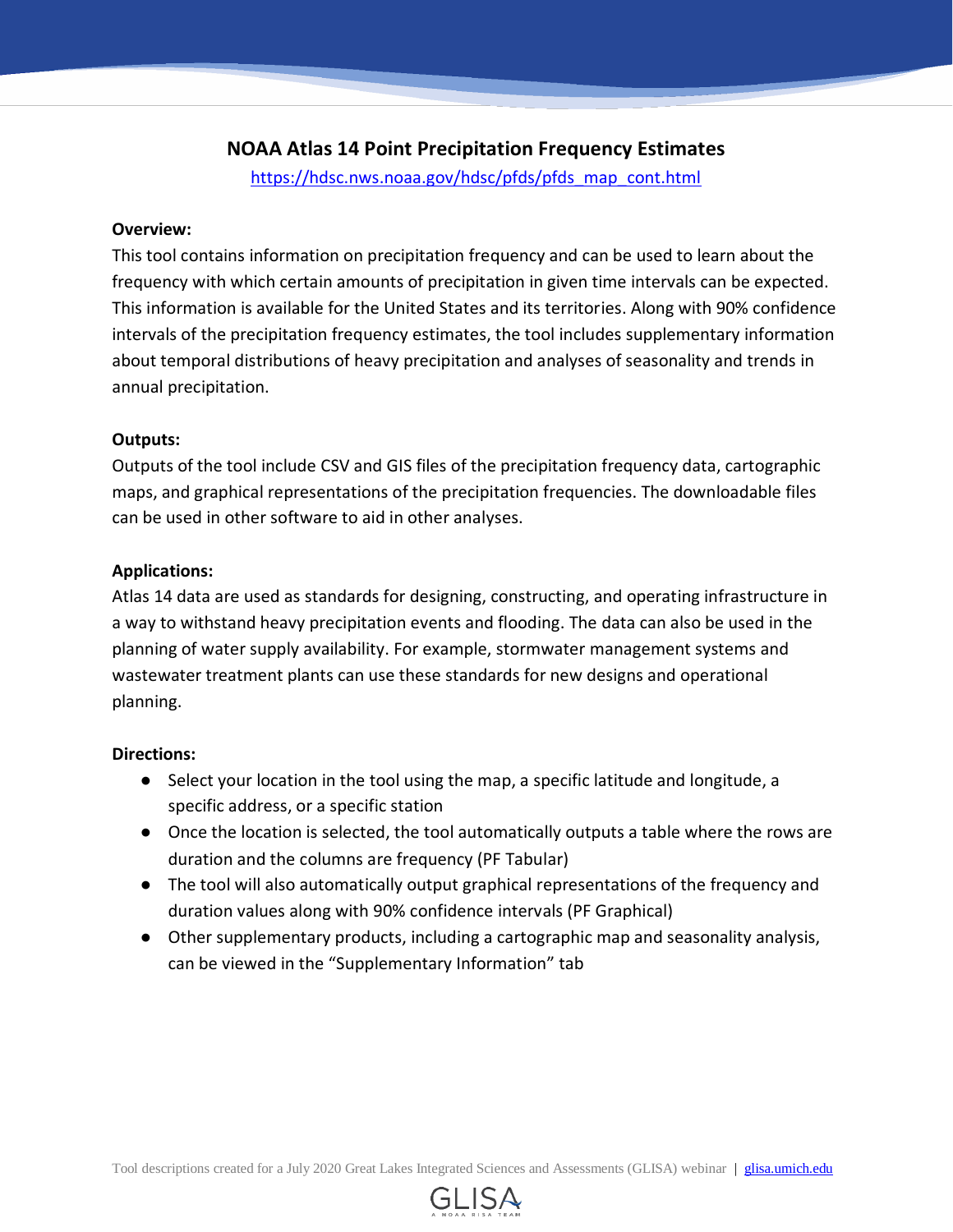# **NOAA Atlas 14 Point Precipitation Frequency Estimates**

[https://hdsc.nws.noaa.gov/hdsc/pfds/pfds\\_map\\_cont.html](https://hdsc.nws.noaa.gov/hdsc/pfds/pfds_map_cont.html)

## **Overview:**

This tool contains information on precipitation frequency and can be used to learn about the frequency with which certain amounts of precipitation in given time intervals can be expected. This information is available for the United States and its territories. Along with 90% confidence intervals of the precipitation frequency estimates, the tool includes supplementary information about temporal distributions of heavy precipitation and analyses of seasonality and trends in annual precipitation.

## **Outputs:**

Outputs of the tool include CSV and GIS files of the precipitation frequency data, cartographic maps, and graphical representations of the precipitation frequencies. The downloadable files can be used in other software to aid in other analyses.

## **Applications:**

Atlas 14 data are used as standards for designing, constructing, and operating infrastructure in a way to withstand heavy precipitation events and flooding. The data can also be used in the planning of water supply availability. For example, stormwater management systems and wastewater treatment plants can use these standards for new designs and operational planning.

- Select your location in the tool using the map, a specific latitude and longitude, a specific address, or a specific station
- Once the location is selected, the tool automatically outputs a table where the rows are duration and the columns are frequency (PF Tabular)
- The tool will also automatically output graphical representations of the frequency and duration values along with 90% confidence intervals (PF Graphical)
- Other supplementary products, including a cartographic map and seasonality analysis, can be viewed in the "Supplementary Information" tab

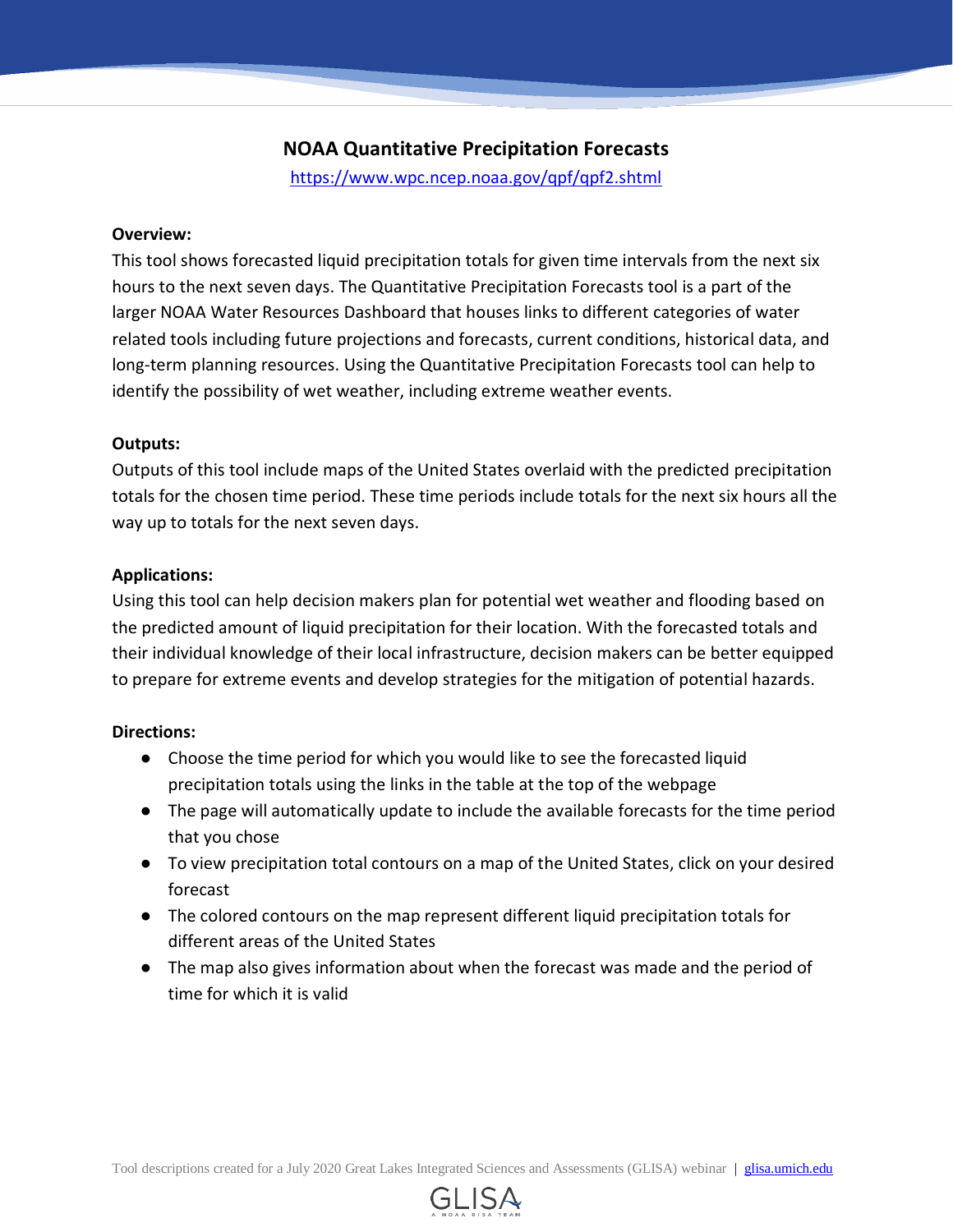# **NOAA Quantitative Precipitation Forecasts**

<https://www.wpc.ncep.noaa.gov/qpf/qpf2.shtml>

#### **Overview:**

This tool shows forecasted liquid precipitation totals for given time intervals from the next six hours to the next seven days. The Quantitative Precipitation Forecasts tool is a part of the larger NOAA Water Resources Dashboard that houses links to different categories of water related tools including future projections and forecasts, current conditions, historical data, and long-term planning resources. Using the Quantitative Precipitation Forecasts tool can help to identify the possibility of wet weather, including extreme weather events.

## **Outputs:**

Outputs of this tool include maps of the United States overlaid with the predicted precipitation totals for the chosen time period. These time periods include totals for the next six hours all the way up to totals for the next seven days.

## **Applications:**

Using this tool can help decision makers plan for potential wet weather and flooding based on the predicted amount of liquid precipitation for their location. With the forecasted totals and their individual knowledge of their local infrastructure, decision makers can be better equipped to prepare for extreme events and develop strategies for the mitigation of potential hazards.

- Choose the time period for which you would like to see the forecasted liquid precipitation totals using the links in the table at the top of the webpage
- The page will automatically update to include the available forecasts for the time period that you chose
- To view precipitation total contours on a map of the United States, click on your desired forecast
- The colored contours on the map represent different liquid precipitation totals for different areas of the United States
- The map also gives information about when the forecast was made and the period of time for which it is valid

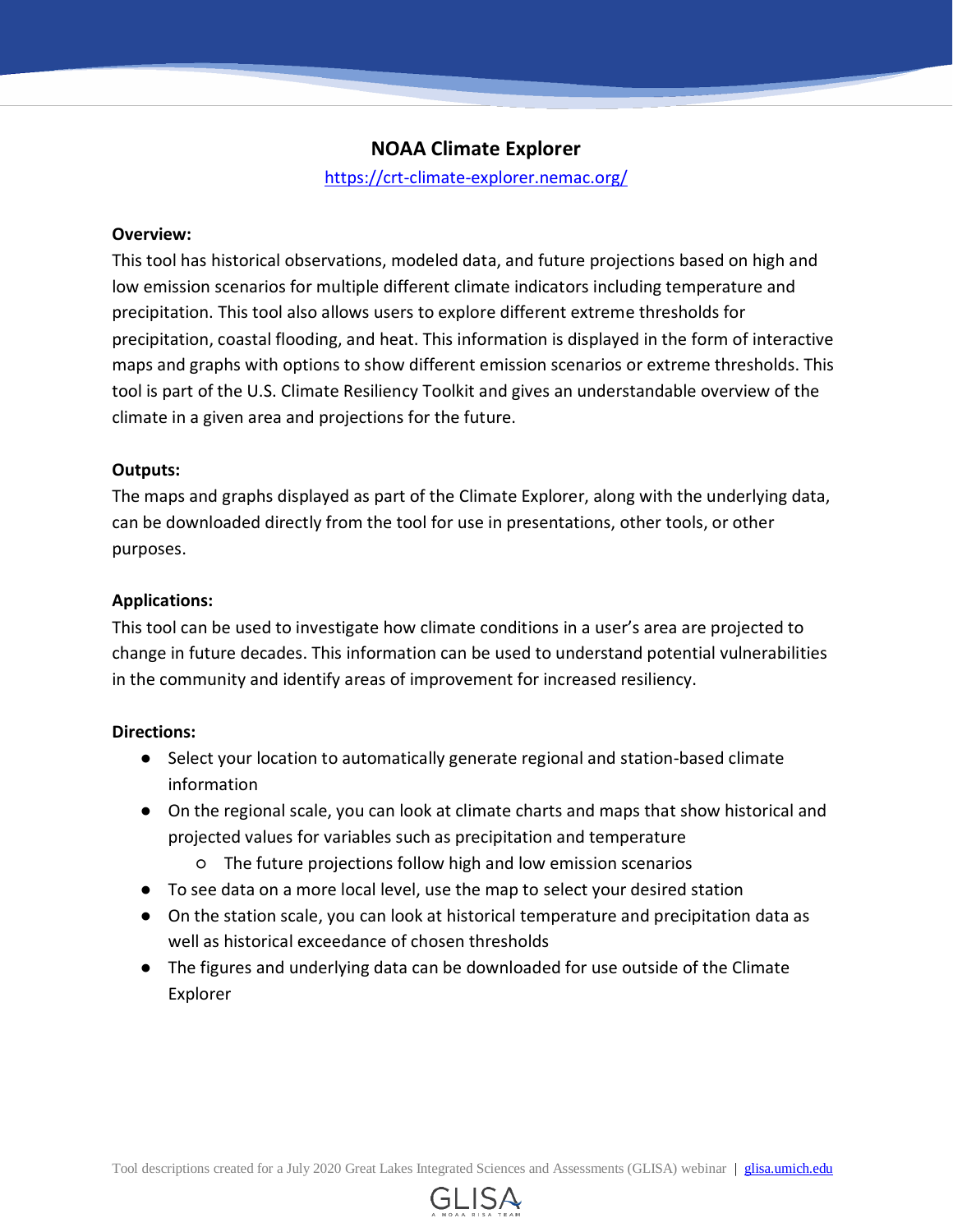# **NOAA Climate Explorer**

<https://crt-climate-explorer.nemac.org/>

#### **Overview:**

This tool has historical observations, modeled data, and future projections based on high and low emission scenarios for multiple different climate indicators including temperature and precipitation. This tool also allows users to explore different extreme thresholds for precipitation, coastal flooding, and heat. This information is displayed in the form of interactive maps and graphs with options to show different emission scenarios or extreme thresholds. This tool is part of the U.S. Climate Resiliency Toolkit and gives an understandable overview of the climate in a given area and projections for the future.

#### **Outputs:**

The maps and graphs displayed as part of the Climate Explorer, along with the underlying data, can be downloaded directly from the tool for use in presentations, other tools, or other purposes.

#### **Applications:**

This tool can be used to investigate how climate conditions in a user's area are projected to change in future decades. This information can be used to understand potential vulnerabilities in the community and identify areas of improvement for increased resiliency.

- Select your location to automatically generate regional and station-based climate information
- On the regional scale, you can look at climate charts and maps that show historical and projected values for variables such as precipitation and temperature
	- The future projections follow high and low emission scenarios
- To see data on a more local level, use the map to select your desired station
- On the station scale, you can look at historical temperature and precipitation data as well as historical exceedance of chosen thresholds
- The figures and underlying data can be downloaded for use outside of the Climate Explorer